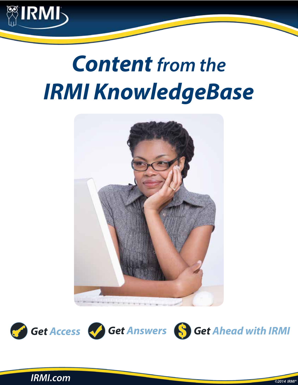

# *Content from the IRMI KnowledgeBase*







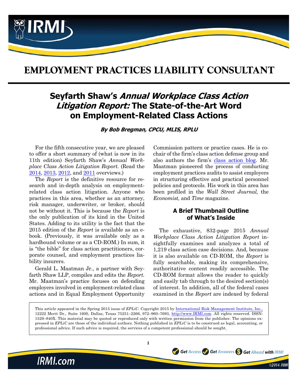

## **EMPLOYMENT PRACTICES LIABILITY CONSULTANT**

## **Seyfarth Shaw's Annual Workplace Class Action Litigation Report: The State-of-the-Art Word on Employment-Related Class Actions**

**By Bob Bregman, CPCU, MLIS, RPLU**

For the fifth consecutive year, we are pleased to offer a short summary of (what is now in its 11th edition) Seyfarth Shaw's *Annual Workplace Class Action Litigation Report.* (Read the [2014](http://www.irmi.com/online/eplic/ch000010/2014sprg/seyfarth-shaws-workplace-class-action-litigation-report.aspx), [2013,](http://www.irmi.com/online/eplic/ch000010/2013sprg/annual-workplace-class-action-litigation-report.aspx) [2012,](http://www.irmi.com/online/eplic/ch000010/2012sprg/3spr12-employment-related-class-actions.aspx) and [2011](http://www.irmi.com/online/eplic/ch000010/2011sprg/spring11-4-annual-workplace-litigation-report.aspx) overviews.)

The *Report* is the definitive resource for research and in-depth analysis on employmentrelated class action litigation. Anyone who practices in this area, whether as an attorney, risk manager, underwriter, or broker, should not be without it. This is because the *Report* is the only publication of its kind in the United States. Adding to its utility is the fact that the 2015 edition of the *Report* is available as an ebook. (Previously, it was available only as a hardbound volume or as a CD-ROM.) In sum, it is "the bible" for class action practitioners, corporate counsel, and employment practices liability insurers.

Gerald L. Maatman Jr., a partner with Seyfarth Shaw LLP, compiles and edits the *Report.* Mr. Maatman's practice focuses on defending employers involved in employment-related class actions and in Equal Employment Opportunity Commission pattern or practice cases. He is cochair of the firm's class action defense group and also authors the firm's [class action blog.](http://www.workplaceclassaction.com/) Mr. Maatman pioneered the process of conducting employment practices audits to assist employers in structuring effective and practical personnel policies and protocols. His work in this area has been profiled in the *Wall Street Journal,* the *Economist,* and *Time* magazine.

#### **A Brief Thumbnail Outline of What's Inside**

The exhaustive, 832-page 2015 *Annual Workplace Class Action Litigation Report* insightfully examines and analyzes a total of 1,219 class action case decisions. And, because it is also available on CD-ROM, the *Report* is fully searchable, making its comprehensive, authoritative content readily accessible. The CD-ROM format allows the reader to quickly and easily tab through to the desired section(s) of interest. In addition, all of the federal cases examined in the *Report* are indexed by federal

Get Access Get Answers S Get Ahead with IRMI

This article appeared in the Spring 2015 issue of *EPLiC.* Copyright 2015 by [International Risk Management Institute, Inc.,](http://www.irmi.com) 12222 Merit Dr., Suite 1600, Dallas, Texas 75251–2266, 972–960–7693, [http://www.IRMI.com](http://www.irmi.com). All rights reserved. ISSN: 1529–840X. This material may be quoted or reproduced only with written permission from the publisher. The opinions expressed in *EPLiC* are those of the individual authors. Nothing published in *EPLiC* is to be construed as legal, accounting, or professional advice. If such advice is required, the services of a competent professional should be sought.

**1**



©2014 IRMI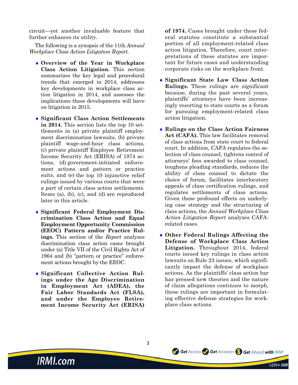circuit—yet another invaluable feature that further enhances its utility.

The following is a synopsis of the 11th *Annual Workplace Class Action Litigation Report.*

- ♦ **Overview of the Year in Workplace Class Action Litigation.** This section summarizes the key legal and procedural trends that emerged in 2014, addresses key developments in workplace class action litigation in 2014, and assesses the implications these developments will have on litigation in 2015.
- ♦ **Significant Class Action Settlements in 2014.** This section lists the top 10 settlements in (a) private plaintiff employment discrimination lawsuits, (b) private plaintiff wage-and-hour class actions, (c) private plaintiff Employee Retirement Income Security Act (ERISA) of 1974 actions, (d) government-initiated enforcement actions and pattern or practice suits, and (e) the top 10 injunctive relief rulings issued by various courts that were a part of certain class action settlements. Items (a), (b), (c), and (d) are reproduced later in this article.
- ♦ **Significant Federal Employment Discrimination Class Action and Equal Employment Opportunity Commission (EEOC) Pattern and/or Practice Rulings.** This section of the *Report* analyzes discrimination class action cases brought under (a) Title VII of the Civil Rights Act of 1964 and (b) "pattern or practice" enforcement actions brought by the EEOC.
- ♦ **Significant Collective Action Rulings under the Age Discrimination in Employment Act (ADEA), the Fair Labor Standards Act (FLSA), and under the Employee Retirement Income Security Act (ERISA)**

**IRMI.com** 

**of 1974.** Cases brought under these federal statutes constitute a substantial portion of all employment-related class action litigation. Therefore, court interpretations of these statutes are important for future cases and understanding corporate risks on the workplace front.

- ♦ **Significant State Law Class Action Rulings.** These rulings are significant because, during the past several years, plaintiffs' attorneys have been increasingly resorting to state courts as a forum for pursuing employment-related class action litigation.
- ♦ **Rulings on the Class Action Fairness**  Act (CAFA). This law facilitates removal of class actions from state court to federal court. In addition, CAFA regulates the selection of class counsel, tightens control of attorneys' fees awarded to class counsel, toughens pleading standards, reduces the ability of class counsel to dictate the choice of forum, facilitates interlocutory appeals of class certification rulings, and regulates settlements of class actions. Given these profound effects on underlying case strategy and the structuring of class actions, the *Annual Workplace Class Action Litigation Report* analyzes CAFArelated cases.
- ♦ **Other Federal Rulings Affecting the Defense of Workplace Class Action Litigation.** Throughout 2014, federal courts issued key rulings in class action lawsuits on Rule 23 issues, which significantly impact the defense of workplace actions. As the plaintiffs' class action bar has pressed new theories and the nature of claim allegations continues to morph, these rulings are important in formulating effective defense strategies for workplace class actions.

Get Access Cost Answers So Get Ahead with IRMI

©2014 IRMI

**2**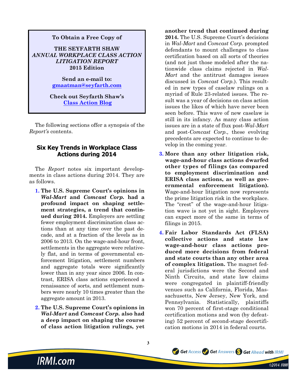### **To Obtain a Free Copy of THE SEYFARTH SHAW**  *ANNUAL WORKPLACE CLASS ACTION LITIGATION REPORT* **2015 Edition**

**Send an e-mail to: gmaatman@seyfarth.com**

#### **Check out Seyfarth Shaw's [Class Action Blog](http://www.workplaceclassaction.com/)**

The following sections offer a synopsis of the *Report's* contents.

#### **Six Key Trends in Workplace Class Actions during 2014**

The *Report* notes six important developments in class actions during 2014. They are as follows.

- **1. The U.S. Supreme Court's opinions in**  *Wal-Mart* **and** *Comcast Corp.* **had a profound impact on shaping settlement strategies, a trend that continued during 2014.** Employers are settling fewer employment discrimination class actions than at any time over the past decade, and at a fraction of the levels as in 2006 to 2013. On the wage-and-hour front, settlements in the aggregate were relatively flat, and in terms of governmental enforcement litigation, settlement numbers and aggregate totals were significantly lower than in any year since 2006. In contrast, ERISA class actions experienced a renaissance of sorts, and settlement numbers were nearly 10 times greater than the aggregate amount in 2013.
- **2. The U.S. Supreme Court's opinions in**  *Wal-Mart* **and** *Comcast Corp.* **also had a deep impact on shaping the course of class action litigation rulings, yet**

**3**

**another trend that continued during 2014.** The U.S. Supreme Court's decisions in *Wal-Mart* and *Comcast Corp.* prompted defendants to mount challenges to class certification based on all sorts of theories (and not just those modeled after the nationwide class claims rejected in *Wal-Mart* and the antitrust damages issues discussed in *Comcast Corp.*). This resulted in new types of caselaw rulings on a myriad of Rule 23-related issues. The result was a year of decisions on class action issues the likes of which have never been seen before. This wave of new caselaw is still in its infancy. As many class action issues are in a state of flux post-*Wal-Mart* and post-*Comcast Corp.,* these evolving precedents are expected to continue to develop in the coming year.

- **3. More than any other litigation risk, wage-and-hour class actions dwarfed other types of filings (as compared to employment discrimination and ERISA class actions, as well as governmental enforcement litigation).** Wage-and-hour litigation now represents the prime litigation risk in the workplace. The "crest" of the wage-and-hour litigation wave is not yet in sight. Employers can expect more of the same in terms of filings in 2015.
- **4. Fair Labor Standards Act (FLSA) collective actions and state law wage-and-hour class actions produced more decisions from federal and state courts than any other area of complex litigation.** The magnet federal jurisdictions were the Second and Ninth Circuits, and state law claims were congregated in plaintiff-friendly venues such as California, Florida, Massachusetts, New Jersey, New York, and Pennsylvania. Statistically, plaintiffs won 70 percent of first-stage conditional certification motions and won (by defeating) 52 percent of second-stage decertification motions in 2014 in federal courts.

Get Access Get Answers S Get Ahead with IRMI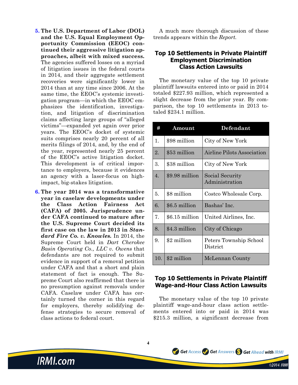- **5. The U.S. Department of Labor (DOL) and the U.S. Equal Employment Opportunity Commission (EEOC) continued their aggressive litigation approaches, albeit with mixed success.** The agencies suffered losses on a myriad of litigation issues in the federal courts in 2014, and their aggregate settlement recoveries were significantly lower in 2014 than at any time since 2006. At the same time, the EEOC's systemic investigation program—in which the EEOC emphasizes the identification, investigation, and litigation of discrimination claims affecting large groups of "alleged victims"—expanded yet again over prior years. The EEOC's docket of systemic suits comprises nearly 20 percent of all merits filings of 2014, and, by the end of the year, represented nearly 25 percent of the EEOC's active litigation docket. This development is of critical importance to employers, because it evidences an agency with a laser-focus on highimpact, big-stakes litigation.
- **6. The year 2014 was a transformative year in caselaw developments under the Class Action Fairness Act (CAFA) of 2005. Jurisprudence under CAFA continued to mature after the U.S. Supreme Court decided its first case on the law in 2013 in** *Standard Fire Co. v. Knowles.* In 2014, the Supreme Court held in *Dart Cherokee Basin Operating Co., LLC v. Owens* that defendants are not required to submit evidence in support of a removal petition under CAFA and that a short and plain statement of fact is enough. The Supreme Court also reaffirmed that there is no presumption against removals under CAFA. Caselaw under CAFA has certainly turned the corner in this regard for employers, thereby solidifying defense strategies to secure removal of class actions to federal court.

**IRMI.com** 

A much more thorough discussion of these trends appears within the *Report.*

#### **Top 10 Settlements in Private Plaintiff Employment Discrimination Class Action Lawsuits**

The monetary value of the top 10 private plaintiff lawsuits entered into or paid in 2014 totaled \$227.93 million, which represented a slight decrease from the prior year. By comparison, the top 10 settlements in 2013 totaled \$234.1 million.

| Ħ   | Amount         | Defendant                          |
|-----|----------------|------------------------------------|
| 1.  | \$98 million   | City of New York                   |
| 2.  | \$53 million   | <b>Airline Pilots Association</b>  |
| 3.  | \$38 million   | City of New York                   |
| 4.  | \$9.98 million | Social Security<br>Administration  |
| 5.  | \$8 million    | Costco Wholesale Corp.             |
| 6.  | \$6.5 million  | Bashas' Inc.                       |
| 7.  | \$6.15 million | United Airlines, Inc.              |
| 8.  | \$4.3 million  | City of Chicago                    |
| 9.  | \$2 million    | Peters Township School<br>District |
| 10. | \$2 million    | McLennan County                    |

#### **Top 10 Settlements in Private Plaintiff Wage-and-Hour Class Action Lawsuits**

The monetary value of the top 10 private plaintiff wage-and-hour class action settlements entered into or paid in 2014 was \$215.3 million, a significant decrease from

Get Access Colet Answers Social Ahead with IRMI

©2014 IRMI

**4**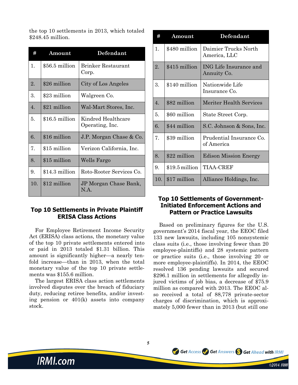the top 10 settlements in 2013, which totaled \$248.45 million.

| #                | Amount         | Defendant                             |
|------------------|----------------|---------------------------------------|
| 1.               | \$56.5 million | <b>Brinker Restaurant</b><br>Corp.    |
| 2.               | \$26 million   | City of Los Angeles                   |
| 3.               | \$23 million   | Walgreen Co.                          |
| $\overline{4}$ . | \$21 million   | Wal-Mart Stores, Inc.                 |
| 5.               | \$16.5 million | Kindred Healthcare<br>Operating, Inc. |
| 6.               | \$16 million   | J.P. Morgan Chase & Co.               |
| 7.               | \$15 million   | Verizon California, Inc.              |
| 8.               | \$15 million   | Wells Fargo                           |
| 9.               | \$14.3 million | Roto-Rooter Services Co.              |
| 10.              | \$12 million   | JP Morgan Chase Bank,<br>N.A.         |

#### **Top 10 Settlements in Private Plaintiff ERISA Class Actions**

For Employee Retirement Income Security Act (ERISA) class actions, the monetary value of the top 10 private settlements entered into or paid in 2013 totaled \$1.31 billion. This amount is significantly higher—a nearly tenfold increase—than in 2013, when the total monetary value of the top 10 private settlements was \$155.6 million.

The largest ERISA class action settlements involved disputes over the breach of fiduciary duty, reducing retiree benefits, and/or investing pension or 401(k) assets into company stock.

| #              | Amount          | Defendant                                    |
|----------------|-----------------|----------------------------------------------|
| 1.             | \$480 million   | Daimier Trucks North<br>America, LLC         |
| 2.             | \$415 million   | <b>ING Life Insurance and</b><br>Annuity Co. |
| 3.             | \$140 million   | Nationwide Life<br>Insurance Co.             |
| $\mathbf{4}$ . | \$82 million    | Meriter Health Services                      |
| 5.             | \$60 million    | State Street Corp.                           |
| 6.             | \$44 million    | S.C. Johnson & Sons, Inc.                    |
| 7.             | \$39 million    | Prudential Insurance Co.<br>of America       |
| 8.             | \$22 million    | <b>Edison Mission Energy</b>                 |
| 9.             | $$19.5$ million | TIAA-CREF                                    |
| 10.            | \$17 million    | Alliance Holdings, Inc.                      |

#### **Top 10 Settlements of Government-Initiated Enforcement Actions and Pattern or Practice Lawsuits**

Based on preliminary figures for the U.S. government's 2014 fiscal year, the EEOC filed 133 new lawsuits, including 105 nonsystemic class suits (i.e., those involving fewer than 20 employee-plaintiffs) and 28 systemic pattern or practice suits (i.e., those involving 20 or more employee-plaintiffs). In 2014, the EEOC resolved 136 pending lawsuits and secured \$296.1 million in settlements for allegedly injured victims of job bias, a decrease of \$75.9 million as compared with 2013. The EEOC also received a total of 88,778 private-sector charges of discrimination, which is approximately 5,000 fewer than in 2013 (but still one